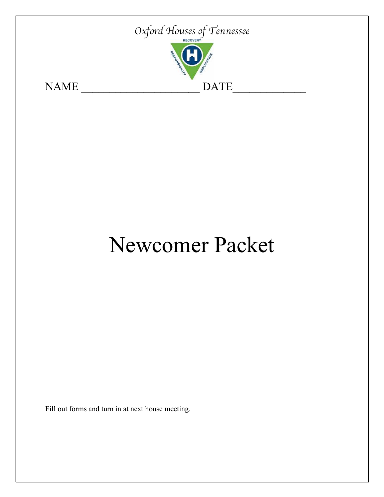

# Newcomer Packet

Fill out forms and turn in at next house meeting.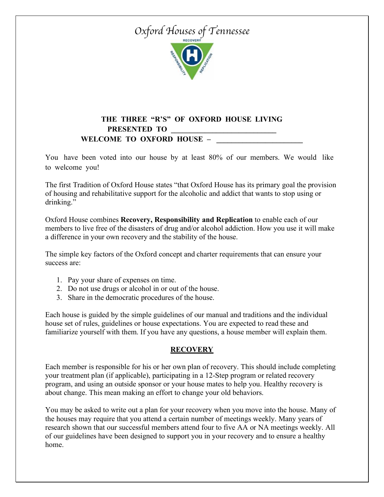

#### **THE THREE "R'S" OF OXFORD HOUSE LIVING PRESENTED TO \_\_\_\_\_\_\_\_\_\_\_\_\_\_\_\_\_\_\_\_\_\_\_\_\_\_\_\_**  WELCOME TO OXFORD HOUSE –

You have been voted into our house by at least 80% of our members. We would like to welcome you!

The first Tradition of Oxford House states "that Oxford House has its primary goal the provision of housing and rehabilitative support for the alcoholic and addict that wants to stop using or drinking."

Oxford House combines **Recovery, Responsibility and Replication** to enable each of our members to live free of the disasters of drug and/or alcohol addiction. How you use it will make a difference in your own recovery and the stability of the house.

The simple key factors of the Oxford concept and charter requirements that can ensure your success are:

- 1. Pay your share of expenses on time.
- 2. Do not use drugs or alcohol in or out of the house.
- 3. Share in the democratic procedures of the house.

Each house is guided by the simple guidelines of our manual and traditions and the individual house set of rules, guidelines or house expectations. You are expected to read these and familiarize yourself with them. If you have any questions, a house member will explain them.

#### **RECOVERY**

Each member is responsible for his or her own plan of recovery. This should include completing your treatment plan (if applicable), participating in a 12-Step program or related recovery program, and using an outside sponsor or your house mates to help you. Healthy recovery is about change. This mean making an effort to change your old behaviors.

You may be asked to write out a plan for your recovery when you move into the house. Many of the houses may require that you attend a certain number of meetings weekly. Many years of research shown that our successful members attend four to five AA or NA meetings weekly. All of our guidelines have been designed to support you in your recovery and to ensure a healthy home.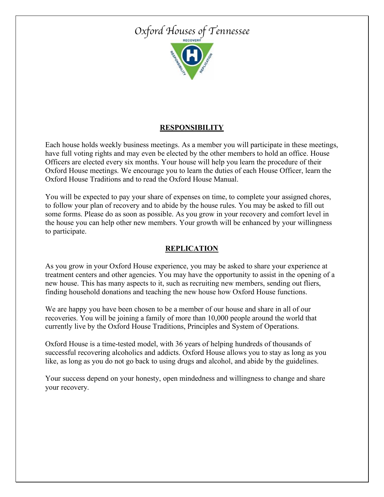

#### **RESPONSIBILITY**

Each house holds weekly business meetings. As a member you will participate in these meetings, have full voting rights and may even be elected by the other members to hold an office. House Officers are elected every six months. Your house will help you learn the procedure of their Oxford House meetings. We encourage you to learn the duties of each House Officer, learn the Oxford House Traditions and to read the Oxford House Manual.

You will be expected to pay your share of expenses on time, to complete your assigned chores, to follow your plan of recovery and to abide by the house rules. You may be asked to fill out some forms. Please do as soon as possible. As you grow in your recovery and comfort level in the house you can help other new members. Your growth will be enhanced by your willingness to participate.

#### **REPLICATION**

As you grow in your Oxford House experience, you may be asked to share your experience at treatment centers and other agencies. You may have the opportunity to assist in the opening of a new house. This has many aspects to it, such as recruiting new members, sending out fliers, finding household donations and teaching the new house how Oxford House functions.

We are happy you have been chosen to be a member of our house and share in all of our recoveries. You will be joining a family of more than 10,000 people around the world that currently live by the Oxford House Traditions, Principles and System of Operations.

Oxford House is a time-tested model, with 36 years of helping hundreds of thousands of successful recovering alcoholics and addicts. Oxford House allows you to stay as long as you like, as long as you do not go back to using drugs and alcohol, and abide by the guidelines.

Your success depend on your honesty, open mindedness and willingness to change and share your recovery.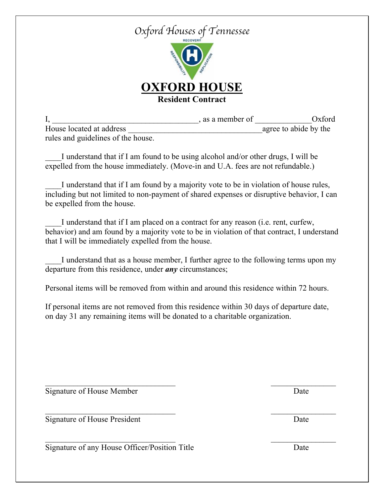

|                                    | as a member of | Oxford                |
|------------------------------------|----------------|-----------------------|
| House located at address           |                | agree to abide by the |
| rules and guidelines of the house. |                |                       |

I understand that if I am found to be using alcohol and/or other drugs, I will be expelled from the house immediately. (Move-in and U.A. fees are not refundable.)

I understand that if I am found by a majority vote to be in violation of house rules, including but not limited to non-payment of shared expenses or disruptive behavior, I can be expelled from the house.

I understand that if I am placed on a contract for any reason (i.e. rent, curfew, behavior) and am found by a majority vote to be in violation of that contract, I understand that I will be immediately expelled from the house.

I understand that as a house member, I further agree to the following terms upon my departure from this residence, under *any* circumstances;

Personal items will be removed from within and around this residence within 72 hours.

If personal items are not removed from this residence within 30 days of departure date, on day 31 any remaining items will be donated to a charitable organization.

Signature of House Member Date

Signature of House President Date

 $\mathcal{L}_\text{max} = \mathcal{L}_\text{max} = \mathcal{L}_\text{max} = \mathcal{L}_\text{max} = \mathcal{L}_\text{max} = \mathcal{L}_\text{max} = \mathcal{L}_\text{max} = \mathcal{L}_\text{max} = \mathcal{L}_\text{max} = \mathcal{L}_\text{max} = \mathcal{L}_\text{max} = \mathcal{L}_\text{max} = \mathcal{L}_\text{max} = \mathcal{L}_\text{max} = \mathcal{L}_\text{max} = \mathcal{L}_\text{max} = \mathcal{L}_\text{max} = \mathcal{L}_\text{max} = \mathcal{$ Signature of any House Officer/Position Title Date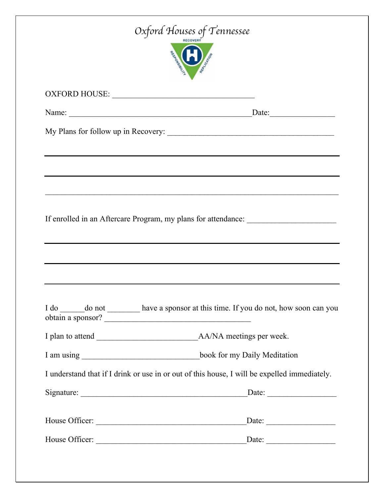| Oxford Houses of Tennessee                                                                   |                                                                                             |  |  |  |
|----------------------------------------------------------------------------------------------|---------------------------------------------------------------------------------------------|--|--|--|
|                                                                                              |                                                                                             |  |  |  |
|                                                                                              |                                                                                             |  |  |  |
| My Plans for follow up in Recovery:                                                          |                                                                                             |  |  |  |
|                                                                                              |                                                                                             |  |  |  |
|                                                                                              |                                                                                             |  |  |  |
|                                                                                              |                                                                                             |  |  |  |
|                                                                                              | If enrolled in an Aftercare Program, my plans for attendance: __________________            |  |  |  |
|                                                                                              | I do _______ do not __________ have a sponsor at this time. If you do not, how soon can you |  |  |  |
|                                                                                              |                                                                                             |  |  |  |
|                                                                                              |                                                                                             |  |  |  |
|                                                                                              |                                                                                             |  |  |  |
| I understand that if I drink or use in or out of this house, I will be expelled immediately. |                                                                                             |  |  |  |
|                                                                                              |                                                                                             |  |  |  |
|                                                                                              |                                                                                             |  |  |  |
|                                                                                              |                                                                                             |  |  |  |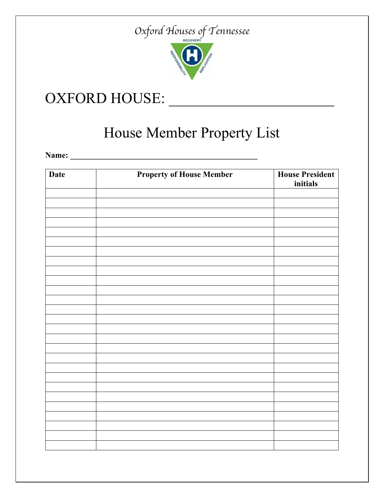

## OXFORD HOUSE: \_\_\_\_\_\_\_\_\_\_\_\_\_\_\_\_\_\_\_\_\_\_

# House Member Property List

**Name: \_\_\_\_\_\_\_\_\_\_\_\_\_\_\_\_\_\_\_\_\_\_\_\_\_\_\_\_\_\_\_\_\_\_\_\_\_\_\_\_\_\_\_\_\_\_**

| <b>Date</b> | <b>Property of House Member</b> | <b>House President</b><br>initials |
|-------------|---------------------------------|------------------------------------|
|             |                                 |                                    |
|             |                                 |                                    |
|             |                                 |                                    |
|             |                                 |                                    |
|             |                                 |                                    |
|             |                                 |                                    |
|             |                                 |                                    |
|             |                                 |                                    |
|             |                                 |                                    |
|             |                                 |                                    |
|             |                                 |                                    |
|             |                                 |                                    |
|             |                                 |                                    |
|             |                                 |                                    |
|             |                                 |                                    |
|             |                                 |                                    |
|             |                                 |                                    |
|             |                                 |                                    |
|             |                                 |                                    |
|             |                                 |                                    |
|             |                                 |                                    |
|             |                                 |                                    |
|             |                                 |                                    |
|             |                                 |                                    |
|             |                                 |                                    |
|             |                                 |                                    |
|             |                                 |                                    |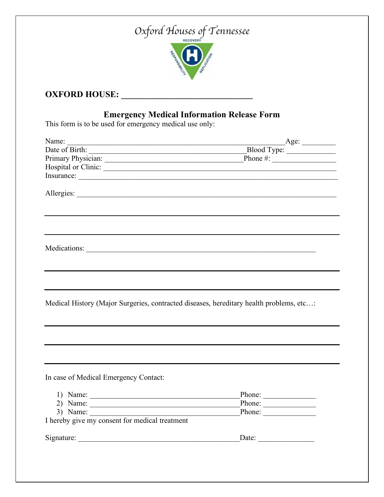

### **OXFORD HOUSE: \_\_\_\_\_\_\_\_\_\_\_\_\_\_\_\_\_\_\_\_\_\_\_\_\_\_\_\_\_\_**

### **Emergency Medical Information Release Form**

This form is to be used for emergency medical use only:

| Name:                                                                                                                                                                                                                                                                                                                                                                                                                                            | $\overline{\phantom{a}}$ Age:   |
|--------------------------------------------------------------------------------------------------------------------------------------------------------------------------------------------------------------------------------------------------------------------------------------------------------------------------------------------------------------------------------------------------------------------------------------------------|---------------------------------|
|                                                                                                                                                                                                                                                                                                                                                                                                                                                  | Blood Type:                     |
|                                                                                                                                                                                                                                                                                                                                                                                                                                                  | Phone $\#$ :                    |
|                                                                                                                                                                                                                                                                                                                                                                                                                                                  |                                 |
|                                                                                                                                                                                                                                                                                                                                                                                                                                                  |                                 |
|                                                                                                                                                                                                                                                                                                                                                                                                                                                  |                                 |
|                                                                                                                                                                                                                                                                                                                                                                                                                                                  |                                 |
|                                                                                                                                                                                                                                                                                                                                                                                                                                                  |                                 |
|                                                                                                                                                                                                                                                                                                                                                                                                                                                  |                                 |
| Medical History (Major Surgeries, contracted diseases, hereditary health problems, etc:                                                                                                                                                                                                                                                                                                                                                          |                                 |
|                                                                                                                                                                                                                                                                                                                                                                                                                                                  |                                 |
| In case of Medical Emergency Contact:                                                                                                                                                                                                                                                                                                                                                                                                            |                                 |
| 1) Name: $\frac{1}{\sqrt{1-\frac{1}{2}} \cdot \frac{1}{2}}$                                                                                                                                                                                                                                                                                                                                                                                      | Phone: $\sqrt{\frac{2}{\pi}}$   |
| 2) Name: $\frac{1}{\sqrt{1-\frac{1}{2}} \cdot \frac{1}{2} \cdot \frac{1}{2} \cdot \frac{1}{2} \cdot \frac{1}{2} \cdot \frac{1}{2} \cdot \frac{1}{2} \cdot \frac{1}{2} \cdot \frac{1}{2} \cdot \frac{1}{2} \cdot \frac{1}{2} \cdot \frac{1}{2} \cdot \frac{1}{2} \cdot \frac{1}{2} \cdot \frac{1}{2} \cdot \frac{1}{2} \cdot \frac{1}{2} \cdot \frac{1}{2} \cdot \frac{1}{2} \cdot \frac{1}{2} \cdot \frac{1}{2} \cdot \frac{1}{2} \cdot \frac{1$ | $\frac{\text{Phone:}}{\text{}}$ |
| 3) Name: $\frac{1}{\sqrt{1-\frac{1}{2}}\sqrt{1-\frac{1}{2}}\left(\frac{1}{2}-\frac{1}{2}\right)}$                                                                                                                                                                                                                                                                                                                                                | Phone:                          |
| I hereby give my consent for medical treatment                                                                                                                                                                                                                                                                                                                                                                                                   |                                 |
|                                                                                                                                                                                                                                                                                                                                                                                                                                                  |                                 |
|                                                                                                                                                                                                                                                                                                                                                                                                                                                  |                                 |